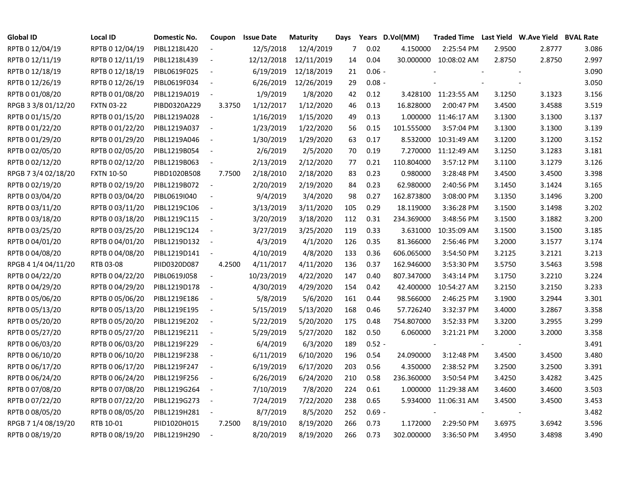| <b>Global ID</b>    | <b>Local ID</b>   | Domestic No. | Coupon                   | <b>Issue Date</b> | <b>Maturity</b> | Days |          | Years D.Vol(MM) | Traded Time Last Yield W.Ave Yield BVAL Rate |        |        |       |
|---------------------|-------------------|--------------|--------------------------|-------------------|-----------------|------|----------|-----------------|----------------------------------------------|--------|--------|-------|
| RPTB 0 12/04/19     | RPTB 0 12/04/19   | PIBL1218L420 |                          | 12/5/2018         | 12/4/2019       | 7    | 0.02     | 4.150000        | 2:25:54 PM                                   | 2.9500 | 2.8777 | 3.086 |
| RPTB 0 12/11/19     | RPTB 0 12/11/19   | PIBL1218L439 |                          | 12/12/2018        | 12/11/2019      | 14   | 0.04     |                 | 30.000000 10:08:02 AM                        | 2.8750 | 2.8750 | 2.997 |
| RPTB 0 12/18/19     | RPTB 0 12/18/19   | PIBL0619F025 | $\sim$                   | 6/19/2019         | 12/18/2019      | 21   | $0.06 -$ |                 |                                              |        |        | 3.090 |
| RPTB 0 12/26/19     | RPTB 0 12/26/19   | PIBL0619F034 | $\overline{\phantom{a}}$ | 6/26/2019         | 12/26/2019      | 29   | $0.08 -$ |                 |                                              |        |        | 3.050 |
| RPTB 0 01/08/20     | RPTB 0 01/08/20   | PIBL1219A019 | $\overline{\phantom{a}}$ | 1/9/2019          | 1/8/2020        | 42   | 0.12     |                 | 3.428100 11:23:55 AM                         | 3.1250 | 3.1323 | 3.156 |
| RPGB 3 3/8 01/12/20 | <b>FXTN 03-22</b> | PIBD0320A229 | 3.3750                   | 1/12/2017         | 1/12/2020       | 46   | 0.13     | 16.828000       | 2:00:47 PM                                   | 3.4500 | 3.4588 | 3.519 |
| RPTB 0 01/15/20     | RPTB 0 01/15/20   | PIBL1219A028 | $\sim$                   | 1/16/2019         | 1/15/2020       | 49   | 0.13     | 1.000000        | 11:46:17 AM                                  | 3.1300 | 3.1300 | 3.137 |
| RPTB 0 01/22/20     | RPTB 0 01/22/20   | PIBL1219A037 | $\overline{\phantom{a}}$ | 1/23/2019         | 1/22/2020       | 56   | 0.15     | 101.555000      | 3:57:04 PM                                   | 3.1300 | 3.1300 | 3.139 |
| RPTB 0 01/29/20     | RPTB 0 01/29/20   | PIBL1219A046 | $\overline{\phantom{a}}$ | 1/30/2019         | 1/29/2020       | 63   | 0.17     | 8.532000        | 10:31:49 AM                                  | 3.1200 | 3.1200 | 3.152 |
| RPTB 0 02/05/20     | RPTB 0 02/05/20   | PIBL1219B054 | $\sim$                   | 2/6/2019          | 2/5/2020        | 70   | 0.19     | 7.270000        | 11:12:49 AM                                  | 3.1250 | 3.1283 | 3.181 |
| RPTB 0 02/12/20     | RPTB 0 02/12/20   | PIBL1219B063 | $\sim$                   | 2/13/2019         | 2/12/2020       | 77   | 0.21     | 110.804000      | 3:57:12 PM                                   | 3.1100 | 3.1279 | 3.126 |
| RPGB 7 3/4 02/18/20 | <b>FXTN 10-50</b> | PIBD1020B508 | 7.7500                   | 2/18/2010         | 2/18/2020       | 83   | 0.23     | 0.980000        | 3:28:48 PM                                   | 3.4500 | 3.4500 | 3.398 |
| RPTB 0 02/19/20     | RPTB 0 02/19/20   | PIBL1219B072 | $\sim$                   | 2/20/2019         | 2/19/2020       | 84   | 0.23     | 62.980000       | 2:40:56 PM                                   | 3.1450 | 3.1424 | 3.165 |
| RPTB 0 03/04/20     | RPTB 0 03/04/20   | PIBL0619I040 | $\sim$                   | 9/4/2019          | 3/4/2020        | 98   | 0.27     | 162.873800      | 3:08:00 PM                                   | 3.1350 | 3.1496 | 3.200 |
| RPTB 0 03/11/20     | RPTB 0 03/11/20   | PIBL1219C106 | $\sim$ $-$               | 3/13/2019         | 3/11/2020       | 105  | 0.29     | 18.119000       | 3:36:28 PM                                   | 3.1500 | 3.1498 | 3.202 |
| RPTB 0 03/18/20     | RPTB 0 03/18/20   | PIBL1219C115 | $\sim$ $-$               | 3/20/2019         | 3/18/2020       | 112  | 0.31     | 234.369000      | 3:48:56 PM                                   | 3.1500 | 3.1882 | 3.200 |
| RPTB 0 03/25/20     | RPTB 0 03/25/20   | PIBL1219C124 | $\sim$ $-$               | 3/27/2019         | 3/25/2020       | 119  | 0.33     | 3.631000        | 10:35:09 AM                                  | 3.1500 | 3.1500 | 3.185 |
| RPTB 0 04/01/20     | RPTB 0 04/01/20   | PIBL1219D132 | $\sim$ $-$               | 4/3/2019          | 4/1/2020        | 126  | 0.35     | 81.366000       | 2:56:46 PM                                   | 3.2000 | 3.1577 | 3.174 |
| RPTB 0 04/08/20     | RPTB 0 04/08/20   | PIBL1219D141 | $\sim$ $-$               | 4/10/2019         | 4/8/2020        | 133  | 0.36     | 606.065000      | 3:54:50 PM                                   | 3.2125 | 3.2121 | 3.213 |
| RPGB 4 1/4 04/11/20 | RTB 03-08         | PIID0320D087 | 4.2500                   | 4/11/2017         | 4/11/2020       | 136  | 0.37     | 162.946000      | 3:53:30 PM                                   | 3.5750 | 3.5463 | 3.598 |
| RPTB 0 04/22/20     | RPTB 0 04/22/20   | PIBL0619J058 | $\sim$ $-$               | 10/23/2019        | 4/22/2020       | 147  | 0.40     | 807.347000      | 3:43:14 PM                                   | 3.1750 | 3.2210 | 3.224 |
| RPTB 0 04/29/20     | RPTB 0 04/29/20   | PIBL1219D178 | $\overline{\phantom{a}}$ | 4/30/2019         | 4/29/2020       | 154  | 0.42     | 42.400000       | 10:54:27 AM                                  | 3.2150 | 3.2150 | 3.233 |
| RPTB 0 05/06/20     | RPTB 0 05/06/20   | PIBL1219E186 | $\sim$ $-$               | 5/8/2019          | 5/6/2020        | 161  | 0.44     | 98.566000       | 2:46:25 PM                                   | 3.1900 | 3.2944 | 3.301 |
| RPTB 0 05/13/20     | RPTB 0 05/13/20   | PIBL1219E195 | $\sim$ $-$               | 5/15/2019         | 5/13/2020       | 168  | 0.46     | 57.726240       | 3:32:37 PM                                   | 3.4000 | 3.2867 | 3.358 |
| RPTB 0 05/20/20     | RPTB 0 05/20/20   | PIBL1219E202 | $\sim$ $-$               | 5/22/2019         | 5/20/2020       | 175  | 0.48     | 754.807000      | 3:52:33 PM                                   | 3.3200 | 3.2955 | 3.299 |
| RPTB 0 05/27/20     | RPTB 0 05/27/20   | PIBL1219E211 | $\sim$ $-$               | 5/29/2019         | 5/27/2020       | 182  | 0.50     | 6.060000        | 3:21:21 PM                                   | 3.2000 | 3.2000 | 3.358 |
| RPTB 0 06/03/20     | RPTB 0 06/03/20   | PIBL1219F229 | $\sim$                   | 6/4/2019          | 6/3/2020        | 189  | $0.52 -$ |                 |                                              |        |        | 3.491 |
| RPTB 0 06/10/20     | RPTB 0 06/10/20   | PIBL1219F238 | $\sim$                   | 6/11/2019         | 6/10/2020       | 196  | 0.54     | 24.090000       | 3:12:48 PM                                   | 3.4500 | 3.4500 | 3.480 |
| RPTB 0 06/17/20     | RPTB 0 06/17/20   | PIBL1219F247 | $\sim$ $-$               | 6/19/2019         | 6/17/2020       | 203  | 0.56     | 4.350000        | 2:38:52 PM                                   | 3.2500 | 3.2500 | 3.391 |
| RPTB 0 06/24/20     | RPTB 0 06/24/20   | PIBL1219F256 | $\sim$                   | 6/26/2019         | 6/24/2020       | 210  | 0.58     | 236.360000      | 3:50:54 PM                                   | 3.4250 | 3.4282 | 3.425 |
| RPTB 0 07/08/20     | RPTB 0 07/08/20   | PIBL1219G264 | $\sim$ $-$               | 7/10/2019         | 7/8/2020        | 224  | 0.61     |                 | 1.000000 11:29:38 AM                         | 3.4600 | 3.4600 | 3.503 |
| RPTB 0 07/22/20     | RPTB 0 07/22/20   | PIBL1219G273 | $\sim$                   | 7/24/2019         | 7/22/2020       | 238  | 0.65     |                 | 5.934000 11:06:31 AM                         | 3.4500 | 3.4500 | 3.453 |
| RPTB 0 08/05/20     | RPTB 0 08/05/20   | PIBL1219H281 | $\overline{\phantom{a}}$ | 8/7/2019          | 8/5/2020        | 252  | $0.69 -$ |                 |                                              |        |        | 3.482 |
| RPGB 7 1/4 08/19/20 | RTB 10-01         | PIID1020H015 | 7.2500                   | 8/19/2010         | 8/19/2020       | 266  | 0.73     | 1.172000        | 2:29:50 PM                                   | 3.6975 | 3.6942 | 3.596 |
| RPTB 0 08/19/20     | RPTB 0 08/19/20   | PIBL1219H290 | $\blacksquare$           | 8/20/2019         | 8/19/2020       | 266  | 0.73     | 302.000000      | 3:36:50 PM                                   | 3.4950 | 3.4898 | 3.490 |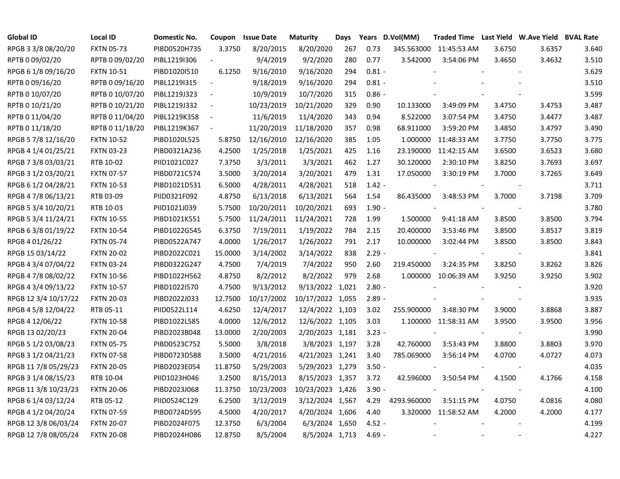| <b>Global ID</b>     | <b>Local ID</b>   | Domestic No. | Coupon                   | <b>Issue Date</b> | <b>Maturity</b>  | Days |          | Years D.Vol(MM) | Traded Time Last Yield W.Ave Yield BVAL Rate |        |        |       |
|----------------------|-------------------|--------------|--------------------------|-------------------|------------------|------|----------|-----------------|----------------------------------------------|--------|--------|-------|
| RPGB 3 3/8 08/20/20  | <b>FXTN 05-73</b> | PIBD0520H735 | 3.3750                   | 8/20/2015         | 8/20/2020        | 267  | 0.73     |                 | 345.563000 11:45:53 AM                       | 3.6750 | 3.6357 | 3.640 |
| RPTB 0 09/02/20      | RPTB 0 09/02/20   | PIBL1219I306 | $\overline{\phantom{a}}$ | 9/4/2019          | 9/2/2020         | 280  | 0.77     | 3.542000        | 3:54:06 PM                                   | 3.4650 | 3.4632 | 3.510 |
| RPGB 6 1/8 09/16/20  | <b>FXTN 10-51</b> | PIBD1020I510 | 6.1250                   | 9/16/2010         | 9/16/2020        | 294  | $0.81 -$ |                 |                                              |        |        | 3.629 |
| RPTB 0 09/16/20      | RPTB 0 09/16/20   | PIBL1219I315 | $\sim$                   | 9/18/2019         | 9/16/2020        | 294  | $0.81 -$ |                 |                                              |        |        | 3.510 |
| RPTB 0 10/07/20      | RPTB 0 10/07/20   | PIBL1219J323 | $\overline{\phantom{a}}$ | 10/9/2019         | 10/7/2020        | 315  | $0.86 -$ |                 |                                              |        |        | 3.599 |
| RPTB 0 10/21/20      | RPTB 0 10/21/20   | PIBL1219J332 | $\sim$                   | 10/23/2019        | 10/21/2020       | 329  | 0.90     | 10.133000       | 3:49:09 PM                                   | 3.4750 | 3.4753 | 3.487 |
| RPTB 0 11/04/20      | RPTB 0 11/04/20   | PIBL1219K358 |                          | 11/6/2019         | 11/4/2020        | 343  | 0.94     | 8.522000        | 3:07:54 PM                                   | 3.4750 | 3.4477 | 3.487 |
| RPTB 0 11/18/20      | RPTB 0 11/18/20   | PIBL1219K367 |                          | 11/20/2019        | 11/18/2020       | 357  | 0.98     | 68.911000       | 3:59:20 PM                                   | 3.4850 | 3.4797 | 3.490 |
| RPGB 5 7/8 12/16/20  | <b>FXTN 10-52</b> | PIBD1020L525 | 5.8750                   | 12/16/2010        | 12/16/2020       | 385  | 1.05     | 1.000000        | 11:48:33 AM                                  | 3.7750 | 3.7750 | 3.775 |
| RPGB 4 1/4 01/25/21  | <b>FXTN 03-23</b> | PIBD0321A236 | 4.2500                   | 1/25/2018         | 1/25/2021        | 425  | 1.16     | 23.190000       | 11:42:15 AM                                  | 3.6500 | 3.6523 | 3.680 |
| RPGB 7 3/8 03/03/21  | RTB 10-02         | PIID1021C027 | 7.3750                   | 3/3/2011          | 3/3/2021         | 462  | 1.27     | 30.120000       | 2:30:10 PM                                   | 3.8250 | 3.7693 | 3.697 |
| RPGB 3 1/2 03/20/21  | <b>FXTN 07-57</b> | PIBD0721C574 | 3.5000                   | 3/20/2014         | 3/20/2021        | 479  | 1.31     | 17.050000       | 3:30:19 PM                                   | 3.7000 | 3.7265 | 3.649 |
| RPGB 6 1/2 04/28/21  | <b>FXTN 10-53</b> | PIBD1021D531 | 6.5000                   | 4/28/2011         | 4/28/2021        | 518  | $1.42 -$ |                 |                                              |        |        | 3.711 |
| RPGB 4 7/8 06/13/21  | RTB 03-09         | PIID0321F092 | 4.8750                   | 6/13/2018         | 6/13/2021        | 564  | 1.54     | 86.435000       | 3:48:53 PM                                   | 3.7000 | 3.7198 | 3.709 |
| RPGB 5 3/4 10/20/21  | RTB 10-03         | PIID1021J039 | 5.7500                   | 10/20/2011        | 10/20/2021       | 693  | $1.90 -$ |                 |                                              |        |        | 3.780 |
| RPGB 5 3/4 11/24/21  | <b>FXTN 10-55</b> | PIBD1021K551 | 5.7500                   | 11/24/2011        | 11/24/2021       | 728  | 1.99     | 1.500000        | 9:41:18 AM                                   | 3.8500 | 3.8500 | 3.794 |
| RPGB 6 3/8 01/19/22  | <b>FXTN 10-54</b> | PIBD1022G545 | 6.3750                   | 7/19/2011         | 1/19/2022        | 784  | 2.15     | 20.400000       | 3:53:46 PM                                   | 3.8500 | 3.8517 | 3.819 |
| RPGB 4 01/26/22      | <b>FXTN 05-74</b> | PIBD0522A747 | 4.0000                   | 1/26/2017         | 1/26/2022        | 791  | 2.17     | 10.000000       | 3:02:44 PM                                   | 3.8500 | 3.8500 | 3.843 |
| RPGB 15 03/14/22     | <b>FXTN 20-02</b> | PIBD2022C021 | 15.0000                  | 3/14/2002         | 3/14/2022        | 838  | $2.29 -$ |                 |                                              |        |        | 3.841 |
| RPGB 4 3/4 07/04/22  | <b>FXTN 03-24</b> | PIBD0322G247 | 4.7500                   | 7/4/2019          | 7/4/2022         | 950  | 2.60     | 219.450000      | 3:24:35 PM                                   | 3.8250 | 3.8262 | 3.826 |
| RPGB 4 7/8 08/02/22  | <b>FXTN 10-56</b> | PIBD1022H562 | 4.8750                   | 8/2/2012          | 8/2/2022         | 979  | 2.68     |                 | 1.000000 10:06:39 AM                         | 3.9250 | 3.9250 | 3.902 |
| RPGB 4 3/4 09/13/22  | <b>FXTN 10-57</b> | PIBD1022I570 | 4.7500                   | 9/13/2012         | 9/13/2022 1,021  |      | $2.80 -$ |                 |                                              |        |        | 3.920 |
| RPGB 12 3/4 10/17/22 | <b>FXTN 20-03</b> | PIBD2022J033 | 12.7500                  | 10/17/2002        | 10/17/2022 1,055 |      | $2.89 -$ |                 |                                              |        |        | 3.935 |
| RPGB 4 5/8 12/04/22  | RTB 05-11         | PIID0522L114 | 4.6250                   | 12/4/2017         | 12/4/2022 1,103  |      | 3.02     | 255.900000      | 3:48:30 PM                                   | 3.9000 | 3.8868 | 3.887 |
| RPGB 4 12/06/22      | <b>FXTN 10-58</b> | PIBD1022L585 | 4.0000                   | 12/6/2012         | 12/6/2022 1,105  |      | 3.03     |                 | 1.100000 11:58:31 AM                         | 3.9500 | 3.9500 | 3.956 |
| RPGB 13 02/20/23     | <b>FXTN 20-04</b> | PIBD2023B048 | 13.0000                  | 2/20/2003         | 2/20/2023 1,181  |      | $3.23 -$ |                 |                                              |        |        | 3.990 |
| RPGB 5 1/2 03/08/23  | <b>FXTN 05-75</b> | PIBD0523C752 | 5.5000                   | 3/8/2018          | 3/8/2023 1,197   |      | 3.28     | 42.760000       | 3:53:43 PM                                   | 3.8800 | 3.8803 | 3.970 |
| RPGB 3 1/2 04/21/23  | <b>FXTN 07-58</b> | PIBD0723D588 | 3.5000                   | 4/21/2016         | 4/21/2023 1,241  |      | 3.40     | 785.069000      | 3:56:14 PM                                   | 4.0700 | 4.0727 | 4.073 |
| RPGB 11 7/8 05/29/23 | <b>FXTN 20-05</b> | PIBD2023E054 | 11.8750                  | 5/29/2003         | 5/29/2023 1,279  |      | $3.50 -$ |                 |                                              |        |        | 4.035 |
| RPGB 3 1/4 08/15/23  | RTB 10-04         | PIID1023H046 | 3.2500                   | 8/15/2013         | 8/15/2023 1,357  |      | 3.72     | 42.596000       | 3:50:54 PM                                   | 4.1500 | 4.1766 | 4.158 |
| RPGB 11 3/8 10/23/23 | <b>FXTN 20-06</b> | PIBD2023J068 | 11.3750                  | 10/23/2003        | 10/23/2023 1,426 |      | $3.90 -$ |                 |                                              |        |        | 4.100 |
| RPGB 6 1/4 03/12/24  | RTB 05-12         | PIID0524C129 | 6.2500                   | 3/12/2019         | 3/12/2024 1,567  |      | 4.29     | 4293.960000     | 3:51:15 PM                                   | 4.0750 | 4.0816 | 4.080 |
| RPGB 4 1/2 04/20/24  | FXTN 07-59        | PIBD0724D595 | 4.5000                   | 4/20/2017         | 4/20/2024 1,606  |      | 4.40     |                 | 3.320000 11:58:52 AM                         | 4.2000 | 4.2000 | 4.177 |
| RPGB 12 3/8 06/03/24 | <b>FXTN 20-07</b> | PIBD2024F075 | 12.3750                  | 6/3/2004          | 6/3/2024 1,650   |      | $4.52 -$ |                 |                                              |        |        | 4.199 |
| RPGB 12 7/8 08/05/24 | <b>FXTN 20-08</b> | PIBD2024H086 | 12.8750                  | 8/5/2004          | 8/5/2024 1,713   |      | $4.69 -$ |                 |                                              |        |        | 4.227 |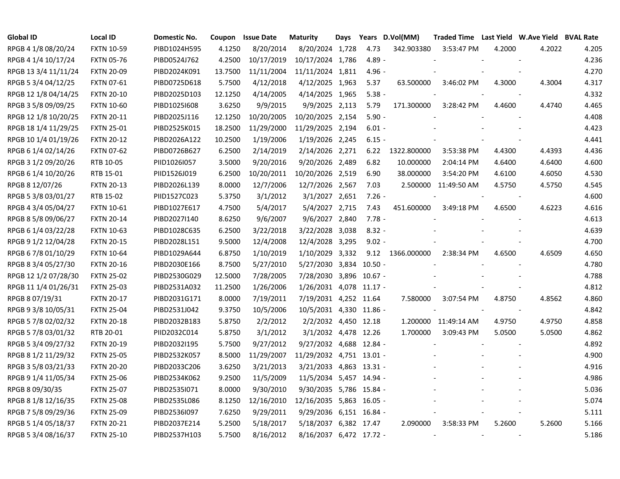| <b>Global ID</b>     | <b>Local ID</b>   | Domestic No. | Coupon  | <b>Issue Date</b> | <b>Maturity</b>          | Days |          | Years D.Vol(MM)  | Traded Time Last Yield W.Ave Yield BVAL Rate |        |        |       |
|----------------------|-------------------|--------------|---------|-------------------|--------------------------|------|----------|------------------|----------------------------------------------|--------|--------|-------|
| RPGB 4 1/8 08/20/24  | <b>FXTN 10-59</b> | PIBD1024H595 | 4.1250  | 8/20/2014         | 8/20/2024 1,728          |      | 4.73     | 342.903380       | 3:53:47 PM                                   | 4.2000 | 4.2022 | 4.205 |
| RPGB 4 1/4 10/17/24  | <b>FXTN 05-76</b> | PIBD0524J762 | 4.2500  | 10/17/2019        | 10/17/2024 1,786         |      | $4.89 -$ |                  |                                              |        |        | 4.236 |
| RPGB 13 3/4 11/11/24 | <b>FXTN 20-09</b> | PIBD2024K091 | 13.7500 | 11/11/2004        | 11/11/2024 1,811         |      | $4.96 -$ |                  |                                              |        |        | 4.270 |
| RPGB 5 3/4 04/12/25  | <b>FXTN 07-61</b> | PIBD0725D618 | 5.7500  | 4/12/2018         | 4/12/2025 1,963          |      | 5.37     | 63.500000        | 3:46:02 PM                                   | 4.3000 | 4.3004 | 4.317 |
| RPGB 12 1/8 04/14/25 | <b>FXTN 20-10</b> | PIBD2025D103 | 12.1250 | 4/14/2005         | 4/14/2025 1,965          |      | $5.38 -$ |                  |                                              |        |        | 4.332 |
| RPGB 3 5/8 09/09/25  | <b>FXTN 10-60</b> | PIBD1025I608 | 3.6250  | 9/9/2015          | 9/9/2025 2,113           |      | 5.79     | 171.300000       | 3:28:42 PM                                   | 4.4600 | 4.4740 | 4.465 |
| RPGB 12 1/8 10/20/25 | <b>FXTN 20-11</b> | PIBD2025J116 | 12.1250 | 10/20/2005        | 10/20/2025 2,154         |      | $5.90 -$ |                  |                                              |        |        | 4.408 |
| RPGB 18 1/4 11/29/25 | <b>FXTN 25-01</b> | PIBD2525K015 | 18.2500 | 11/29/2000        | 11/29/2025 2,194         |      | $6.01 -$ |                  |                                              |        |        | 4.423 |
| RPGB 10 1/4 01/19/26 | <b>FXTN 20-12</b> | PIBD2026A122 | 10.2500 | 1/19/2006         | 1/19/2026 2,245          |      | $6.15 -$ |                  |                                              |        |        | 4.441 |
| RPGB 6 1/4 02/14/26  | <b>FXTN 07-62</b> | PIBD0726B627 | 6.2500  | 2/14/2019         | 2/14/2026 2,271          |      | 6.22     | 1322.800000      | 3:53:38 PM                                   | 4.4300 | 4.4393 | 4.436 |
| RPGB 3 1/2 09/20/26  | RTB 10-05         | PIID1026I057 | 3.5000  | 9/20/2016         | 9/20/2026 2,489          |      | 6.82     | 10.000000        | 2:04:14 PM                                   | 4.6400 | 4.6400 | 4.600 |
| RPGB 6 1/4 10/20/26  | RTB 15-01         | PIID1526J019 | 6.2500  | 10/20/2011        | 10/20/2026 2,519         |      | 6.90     | 38.000000        | 3:54:20 PM                                   | 4.6100 | 4.6050 | 4.530 |
| RPGB 8 12/07/26      | <b>FXTN 20-13</b> | PIBD2026L139 | 8.0000  | 12/7/2006         | 12/7/2026 2,567          |      | 7.03     |                  | 2.500000 11:49:50 AM                         | 4.5750 | 4.5750 | 4.545 |
| RPGB 5 3/8 03/01/27  | RTB 15-02         | PIID1527C023 | 5.3750  | 3/1/2012          | 3/1/2027 2,651           |      | $7.26 -$ |                  |                                              |        |        | 4.600 |
| RPGB 4 3/4 05/04/27  | <b>FXTN 10-61</b> | PIBD1027E617 | 4.7500  | 5/4/2017          | 5/4/2027 2,715           |      | 7.43     | 451.600000       | 3:49:18 PM                                   | 4.6500 | 4.6223 | 4.616 |
| RPGB 8 5/8 09/06/27  | <b>FXTN 20-14</b> | PIBD2027I140 | 8.6250  | 9/6/2007          | 9/6/2027 2,840           |      | $7.78 -$ |                  |                                              |        |        | 4.613 |
| RPGB 6 1/4 03/22/28  | <b>FXTN 10-63</b> | PIBD1028C635 | 6.2500  | 3/22/2018         | 3/22/2028 3,038          |      | $8.32 -$ |                  |                                              |        |        | 4.639 |
| RPGB 9 1/2 12/04/28  | <b>FXTN 20-15</b> | PIBD2028L151 | 9.5000  | 12/4/2008         | 12/4/2028 3,295          |      | $9.02 -$ |                  |                                              |        |        | 4.700 |
| RPGB 6 7/8 01/10/29  | <b>FXTN 10-64</b> | PIBD1029A644 | 6.8750  | 1/10/2019         | 1/10/2029 3,332          |      |          | 9.12 1366.000000 | 2:38:34 PM                                   | 4.6500 | 4.6509 | 4.650 |
| RPGB 8 3/4 05/27/30  | <b>FXTN 20-16</b> | PIBD2030E166 | 8.7500  | 5/27/2010         | 5/27/2030 3,834 10.50 -  |      |          |                  |                                              |        |        | 4.780 |
| RPGB 12 1/2 07/28/30 | <b>FXTN 25-02</b> | PIBD2530G029 | 12.5000 | 7/28/2005         | 7/28/2030 3,896 10.67 -  |      |          |                  |                                              |        |        | 4.788 |
| RPGB 11 1/4 01/26/31 | <b>FXTN 25-03</b> | PIBD2531A032 | 11.2500 | 1/26/2006         | 1/26/2031 4,078 11.17 -  |      |          |                  |                                              |        |        | 4.812 |
| RPGB 8 07/19/31      | <b>FXTN 20-17</b> | PIBD2031G171 | 8.0000  | 7/19/2011         | 7/19/2031 4,252 11.64    |      |          | 7.580000         | 3:07:54 PM                                   | 4.8750 | 4.8562 | 4.860 |
| RPGB 9 3/8 10/05/31  | <b>FXTN 25-04</b> | PIBD2531J042 | 9.3750  | 10/5/2006         | 10/5/2031 4,330 11.86 -  |      |          |                  |                                              |        |        | 4.842 |
| RPGB 5 7/8 02/02/32  | <b>FXTN 20-18</b> | PIBD2032B183 | 5.8750  | 2/2/2012          | 2/2/2032 4,450 12.18     |      |          |                  | 1.200000 11:49:14 AM                         | 4.9750 | 4.9750 | 4.858 |
| RPGB 5 7/8 03/01/32  | RTB 20-01         | PIID2032C014 | 5.8750  | 3/1/2012          | 3/1/2032 4,478 12.26     |      |          | 1.700000         | 3:09:43 PM                                   | 5.0500 | 5.0500 | 4.862 |
| RPGB 5 3/4 09/27/32  | <b>FXTN 20-19</b> | PIBD2032I195 | 5.7500  | 9/27/2012         | 9/27/2032 4,688 12.84 -  |      |          |                  |                                              |        |        | 4.892 |
| RPGB 8 1/2 11/29/32  | <b>FXTN 25-05</b> | PIBD2532K057 | 8.5000  | 11/29/2007        | 11/29/2032 4,751 13.01 - |      |          |                  |                                              |        |        | 4.900 |
| RPGB 3 5/8 03/21/33  | <b>FXTN 20-20</b> | PIBD2033C206 | 3.6250  | 3/21/2013         | 3/21/2033 4,863 13.31 -  |      |          |                  |                                              |        |        | 4.916 |
| RPGB 9 1/4 11/05/34  | <b>FXTN 25-06</b> | PIBD2534K062 | 9.2500  | 11/5/2009         | 11/5/2034 5,457 14.94 -  |      |          |                  |                                              |        |        | 4.986 |
| RPGB 8 09/30/35      | <b>FXTN 25-07</b> | PIBD2535I071 | 8.0000  | 9/30/2010         | 9/30/2035 5,786 15.84 -  |      |          |                  |                                              |        |        | 5.036 |
| RPGB 8 1/8 12/16/35  | <b>FXTN 25-08</b> | PIBD2535L086 | 8.1250  | 12/16/2010        | 12/16/2035 5,863 16.05 - |      |          |                  |                                              |        |        | 5.074 |
| RPGB 7 5/8 09/29/36  | <b>FXTN 25-09</b> | PIBD2536I097 | 7.6250  | 9/29/2011         | 9/29/2036 6,151 16.84 -  |      |          |                  |                                              |        |        | 5.111 |
| RPGB 5 1/4 05/18/37  | <b>FXTN 20-21</b> | PIBD2037E214 | 5.2500  | 5/18/2017         | 5/18/2037 6,382 17.47    |      |          | 2.090000         | 3:58:33 PM                                   | 5.2600 | 5.2600 | 5.166 |
| RPGB 5 3/4 08/16/37  | <b>FXTN 25-10</b> | PIBD2537H103 | 5.7500  | 8/16/2012         | 8/16/2037 6,472 17.72 -  |      |          |                  | $\overline{\phantom{a}}$                     |        |        | 5.186 |